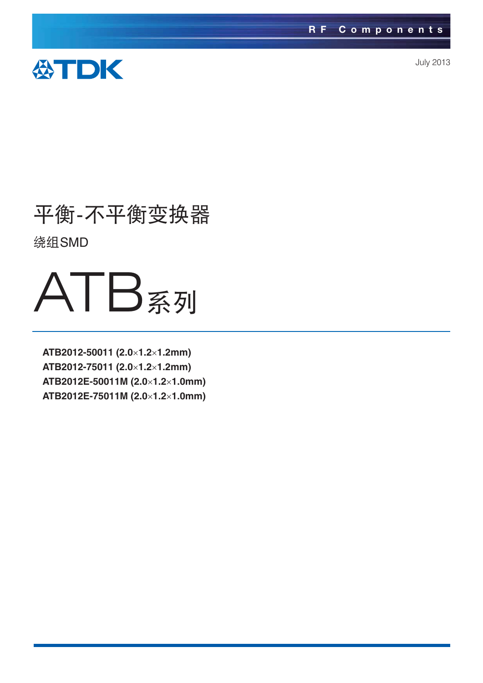

July 2013

# 平衡-不平衡变换器 ᏠSMD

# ATB系列

**ATB2012-50011 (2.0**-**1.2**-**1.2mm) ATB2012-75011 (2.0**-**1.2**-**1.2mm) ATB2012E-50011M (2.0**-**1.2**-**1.0mm) ATB2012E-75011M (2.0**-**1.2**-**1.0mm)**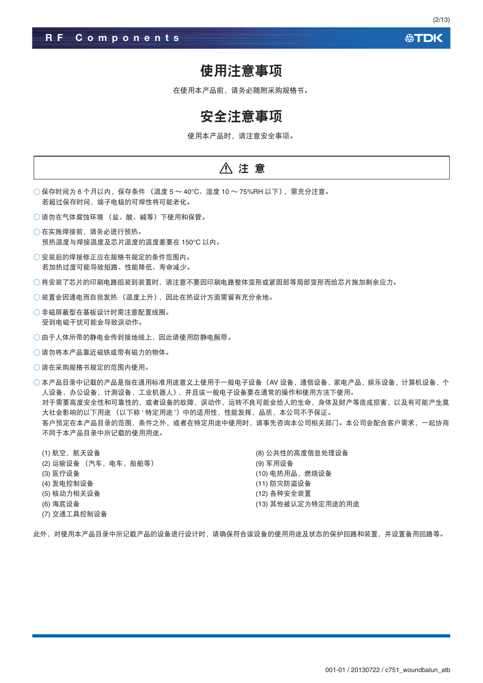#### 公TDK

(2/13)

#### 使用注意事项

在使用本产品前,请务必随附采购规格书。

### 安全注意事项

使用本产品时, 请注意安全事项。

#### ∧ 注意

- 保存时间为 6 个月以内,保存条件 (温度 5 ~ 40°C、湿度 10 ~ 75%RH 以下),需充分注意。 若超过保存时间, 端子电极的可焊性将可能老化。
- 请勿在气体腐蚀环境 (盐、酸、碱等) 下使用和保管。
- 在实施焊接前, 请务必进行预热。 预热温度与焊接温度及芯片温度的温度差要在 150℃ 以内。
- ○安装后的焊接修正应在规格书规定的条件范围内。 若加热过度可能导致短路、性能降低、寿命减少。
- ○将安装了芯片的印刷电路组装到装置时,请注意不要因印刷电路整体变形或紧固部等局部变形而给芯片施加剩余应力。
- ○装置会因通电而自我发热 (温度上升), 因此在热设计方面需留有充分余地。
- ○非磁屏蔽型在基板设计时需注意配置线圈。 受到电磁干扰可能会导致误动作。
- ○由于人体所带的静电会传到接地线上,因此请使用防静电腕带。
- ○请勿将本产品靠近磁铁或带有磁力的物体。
- ○请在采购规格书规定的范围内使用。

 $\bigcirc$  本产品目录中记载的产品是指在通用标准用途意义上使用于一般电子设备(AV 设备、通信设备、家电产品、娱乐设备、计算机设备、个 人设备, 办公设备, 计测设备, 工业机器人), 并且该一般电子设备要在通常的操作和使用方法下使用。 对于需要高度安全性和可靠性的,或者设备的故障,误动作,运转不良可能会给人的生命,身体及财产等造成损害,以及有可能产生莫 大社会影响的以下用途 (以下称'特定用途') 中的适用性, 性能发挥, 品质, 本公司不予保证。 客户预定在本产品目录的范围,条件之外,或者在特定用途中使用时,请事先咨询本公司相关部门。本公司会配合客户需求,一起协商 不同于本产品目录中所记载的使用用途。

| (1) 航空,航天设备          | (8) 公共性的高度信息处理设备   |
|----------------------|--------------------|
| (2) 运输设备 (汽车,电车,船舶等) | (9) 军用设备           |
| (3) 医疗设备             | (10) 电热用品, 燃烧设备    |
| (4) 发电控制设备           | (11) 防灾防盗设备        |
| (5) 核动力相关设备          | (12) 各种安全装置        |
| (6) 海底设备             | (13) 其他被认定为特定用途的用途 |
| (7) 交通工具控制设备         |                    |

此外,对使用本产品目录中所记载产品的设备进行设计时,请确保符合该设备的使用用途及状态的保护回路和装置,并设置备用回路等。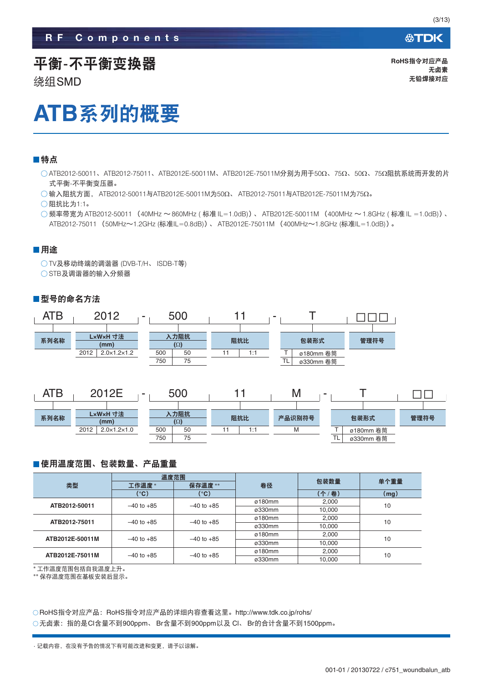公TDK

### 平衡-不平衡变换器

ᏠSMD

**RoHS指令对应产品** 无卤素 无铅焊接对应

# **ATB系列的概要**

#### ■特点

○ATB2012-50011、ATB2012-75011、ATB2012E-50011M、ATB2012E-75011M分别为用于50Ω、75Ω、50Ω、75Ω阻抗系统而开发的片 式平衡-不平衡变压器。

 $\bigcirc$ 输入阻抗方面, ATB2012-50011与ATB2012E-50011M为50Ω、ATB2012-75011与ATB2012E-75011M为75Ω。

 $\bigcirc$  阻抗比为1:1。

◯频率带宽为 ATB2012-50011 (40MHz ~860MHz ( 标准 IL=1.0dB))、 ATB2012E-50011M (400MHz ~1.8GHz ( 标准 IL =1.0dB))、 ATB2012-75011 (50MHz~1.2GHz (标准IL=0.8dB))、 ATB2012E-75011M (400MHz~1.8GHz (标准IL=1.0dB))。

#### ■用途

○TV及移动终端的调谐器 (DVB-T/H、ISDB-T等) ○STB及调谐器的输入分频器

#### ■型号的命名方法



| ATB  | 2012E<br>-                          | 500                       |     | ΙVΙ    |                           |      |
|------|-------------------------------------|---------------------------|-----|--------|---------------------------|------|
|      |                                     |                           |     |        |                           |      |
| 系列名称 | LxWxH 寸法<br>(mm)                    | <b>\力阻抗</b><br>$(\Omega)$ | 阻抗比 | 产品识别符号 | 包装形式                      | 管理符号 |
|      | 2012<br>$2.0 \times 1.2 \times 1.0$ | 500<br>50                 | 1:1 | M      | ø180mm 卷筒                 |      |
|      |                                     | 750<br>75                 |     |        | $\mathbf{r}$<br>ø330mm 卷筒 |      |

#### ■使用温度范围、包装数量、产品重量

|                 |                 | 温度范围           |                | 包装数量   | 单个重量 |  |
|-----------------|-----------------|----------------|----------------|--------|------|--|
| 类型              | 保存温度**<br>工作温度* |                | 卷径             |        |      |  |
|                 | (°C)            | (°C)           |                | (个/卷)  | (mg) |  |
| ATB2012-50011   | $-40$ to $+85$  | $-40$ to $+85$ | ø180mm         | 2,000  | 10   |  |
|                 |                 |                | ø330mm         | 10.000 |      |  |
| ATB2012-75011   | $-40$ to $+85$  | $-40$ to $+85$ | $\alpha$ 180mm | 2,000  | 10   |  |
|                 |                 |                | ø330mm         | 10.000 |      |  |
| ATB2012E-50011M | $-40$ to $+85$  | $-40$ to $+85$ | $\alpha$ 180mm | 2.000  | 10   |  |
|                 |                 |                | ø330mm         | 10.000 |      |  |
| ATB2012E-75011M | $-40$ to $+85$  | $-40$ to $+85$ | $\alpha$ 180mm | 2.000  | 10   |  |
|                 |                 |                | ø330mm         | 10.000 |      |  |

\*工作温度范围包括自我温度上升。

\*\* 保存温度范围在基板安装后显示。

○RoHS指令对应产品: RoHS指令对应产品的详细内容查看这里。http://www.tdk.co.jp/rohs/ ○无卤素:指的是Cl含量不到900ppm、Br含量不到900ppm以及 Cl、Br的合计含量不到1500ppm。

<sup>·</sup> 记载内容, 在没有予告的情况下有可能改进和变更, 请予以谅解。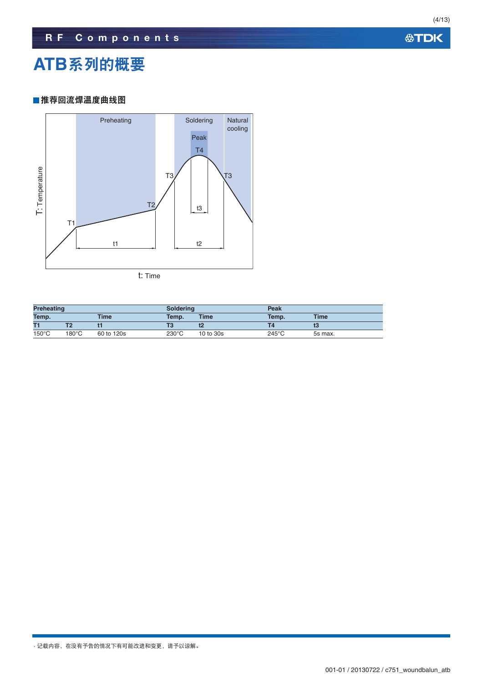**公TDK** 

### **ATB系列的概要**

#### ■推荐回流焊温度曲线图



| <b>Preheating</b> |       |             | <b>Soldering</b> |             | Peak            |             |
|-------------------|-------|-------------|------------------|-------------|-----------------|-------------|
| Temp.             |       | <b>Time</b> | Temp.            | <b>Time</b> | Temp.           | <b>Time</b> |
| T1                |       |             |                  | t2          |                 |             |
| $150^{\circ}$ C   | 180°C | 60 to 120s  | $230^{\circ}$ C  | 10 to 30s   | $245^{\circ}$ C | 5s max.     |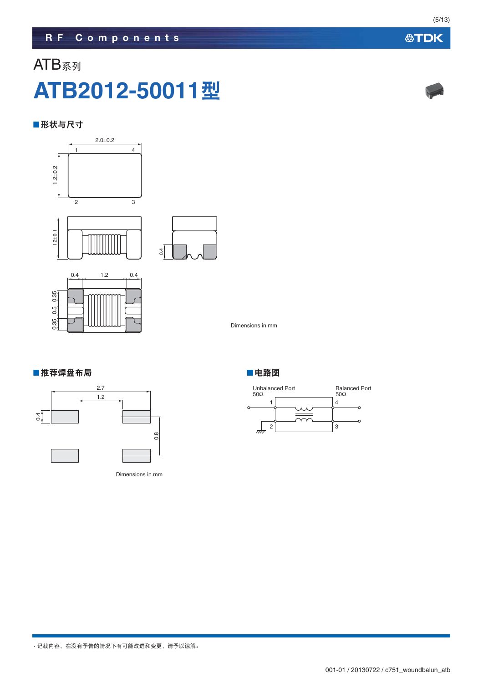# ATB系列 **ATB2012-50011**ᄲ

#### ■形状与尺寸



Dimensions in mm

#### ■推荐焊盘布局 ■电路图



Dimensions in mm





(5/13)

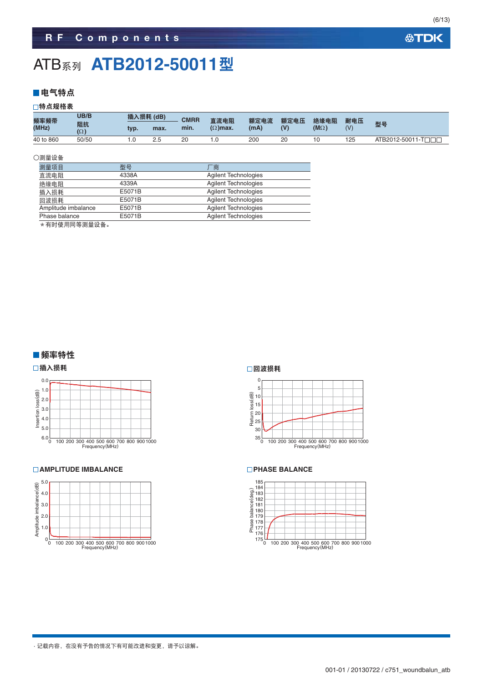### ATB<sub>系列</sub> ATB2012-50011型

#### ■电气特点

#### □特点规格表

| 频率频带      | UB/B             | 插入损耗 (dB) |      | <b>CMRR</b> | 直流电阻            | 额定电流 | 额定电压 | 绝缘电阻        | 耐电压 |                   |
|-----------|------------------|-----------|------|-------------|-----------------|------|------|-------------|-----|-------------------|
| (MHz)     | 阻抗<br>$(\Omega)$ | typ.      | max. | min.        | $(\Omega)$ max. | (mA) | (V)  | $(M\Omega)$ | (1) | 型号                |
| 40 to 860 | 50/50            |           | 2.5  |             |                 | 200  | 20   |             | 125 | ATB2012-50011-TOO |

#### ○测量设备

| 测量项目                | 型묵     | 「商                          |
|---------------------|--------|-----------------------------|
| 直流电阻                | 4338A  | <b>Agilent Technologies</b> |
| 绝缘电阻                | 4339A  | <b>Agilent Technologies</b> |
| 插入损耗                | E5071B | <b>Agilent Technologies</b> |
| 回波损耗                | E5071B | <b>Agilent Technologies</b> |
| Amplitude imbalance | E5071B | <b>Agilent Technologies</b> |
| Phase balance       | E5071B | <b>Agilent Technologies</b> |

\* 有时使用同等测量设备。

#### ■频率特性

#### □插入损耗



#### **AMPLITUDE IMBALANCE**



#### □回波损耗



#### **PHASE BALANCE**

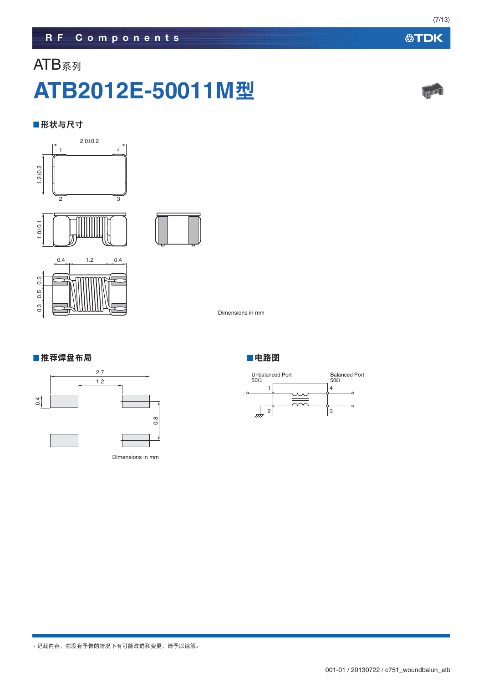### ATB系列 **ATB2012E-50011M**ᄲ

#### ■形状与尺寸





0.3 0.3 0.5  $\ddot{0}$ 

Dimensions in mm

#### ■推荐焊盘布局 ■电路图



Dimensions in mm



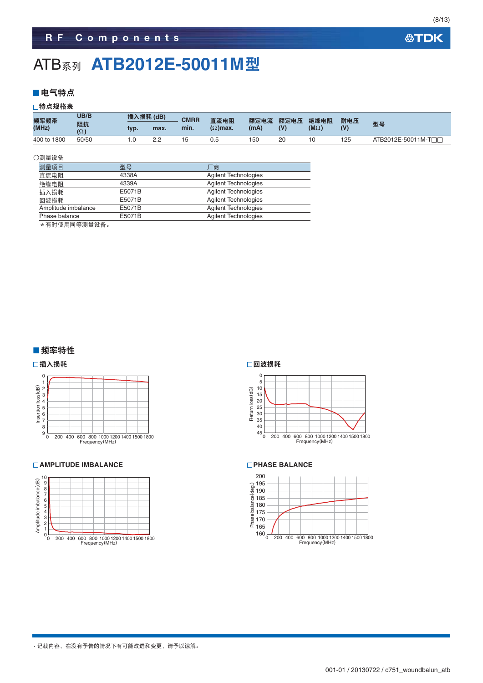### **ATB<sub>系列</sub> ATB2012E-50011M型**

#### ■电气特点

#### □特点规格表

| 频率频带        | UB/B             | 插入损耗 (dB) |          | <b>CMRR</b> | 直流电阻            | 额定电流 | 额定电压 | 绝缘电阻        | 耐电压 |                     |
|-------------|------------------|-----------|----------|-------------|-----------------|------|------|-------------|-----|---------------------|
| (MHz)       | 阻抗<br>$(\Omega)$ | typ.      | max.     | min.        | $(\Omega)$ max. | (mA) | (V)  | $(M\Omega)$ | (V) | 型号                  |
| 400 to 1800 | 50/50            |           | <u>.</u> |             | U.t             | 150  | 20   |             | 125 | ATB2012E-50011M-TTT |

#### ○测量设备

| 测量项目                | 型묵     | 「商                          |
|---------------------|--------|-----------------------------|
| 直流电阻                | 4338A  | <b>Agilent Technologies</b> |
| 绝缘电阻                | 4339A  | <b>Agilent Technologies</b> |
| 插入损耗                | E5071B | <b>Agilent Technologies</b> |
| 回波损耗                | E5071B | <b>Agilent Technologies</b> |
| Amplitude imbalance | E5071B | <b>Agilent Technologies</b> |
| Phase balance       | E5071B | <b>Agilent Technologies</b> |

\* 有时使用同等测量设备。

#### ■频率特性

#### □插入损耗



#### **AMPLITUDE IMBALANCE**



#### □回波损耗



#### **PHASE BALANCE**



#### **公TDK**

(8/13)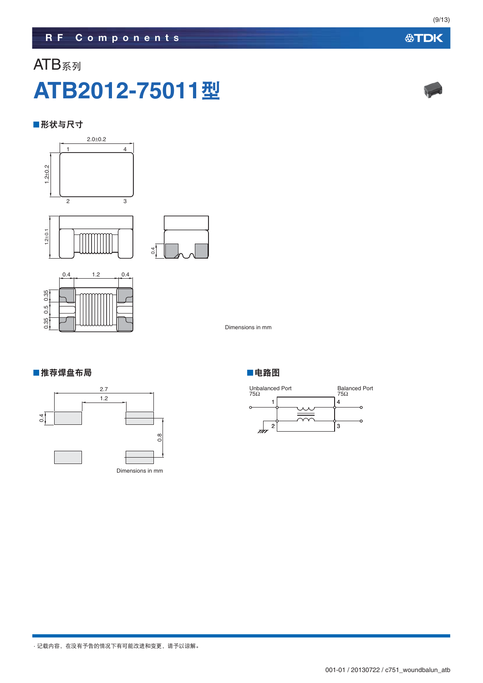

ATB系列





Dimensions in mm

#### ■推荐焊盘布局 ■电路图





**ATB2012-75011**ᄲ

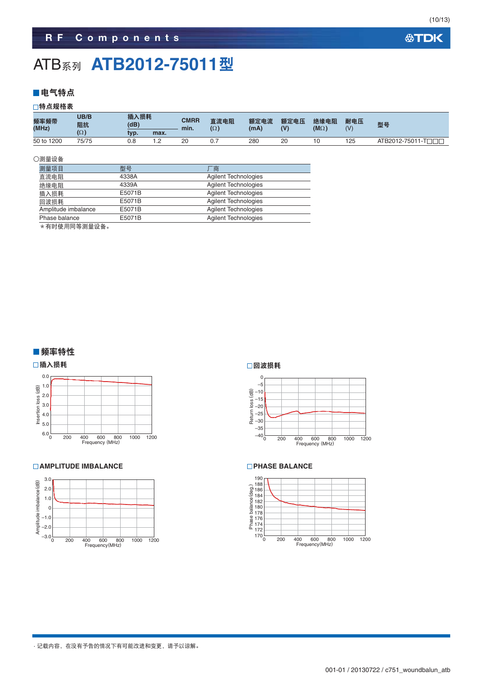### ATB<sub>系列</sub> ATB2012-75011型

#### ■电气特点

#### □特点规格表

| 频率频带<br>(MHz) | UB/B<br>阻抗 | 插入损耗<br>(dB) |            | <b>CMRR</b><br>min. | 直流电阻<br>$(\Omega)$ | 额定电流<br>(mA) | 额定电压<br>(V) | 绝缘电阻<br>$(M\Omega)$ | 耐电压<br>(V) | 型号                 |
|---------------|------------|--------------|------------|---------------------|--------------------|--------------|-------------|---------------------|------------|--------------------|
|               | $(\Omega)$ | tvp.         | max.       |                     |                    |              |             |                     |            |                    |
| 50 to 1200    | 75/75      | 0.8          | - 2<br>$-$ | 20                  | 0.7                | 280          | 20          |                     | 125        | ATB2012-75011-TOOD |

#### ○测量设备

| 测量项目                | 型묵     | 商                           |
|---------------------|--------|-----------------------------|
| 直流电阻                | 4338A  | <b>Agilent Technologies</b> |
| 绝缘电阻                | 4339A  | <b>Agilent Technologies</b> |
| 插入损耗                | E5071B | <b>Agilent Technologies</b> |
| 回波损耗                | E5071B | <b>Agilent Technologies</b> |
| Amplitude imbalance | E5071B | <b>Agilent Technologies</b> |
| Phase balance       | E5071B | <b>Agilent Technologies</b> |
|                     |        |                             |

\*有时使用同等测量设备。

#### ■频率特性





#### **AMPLITUDE IMBALANCE**



#### □回波损耗



#### **PHASE BALANCE**

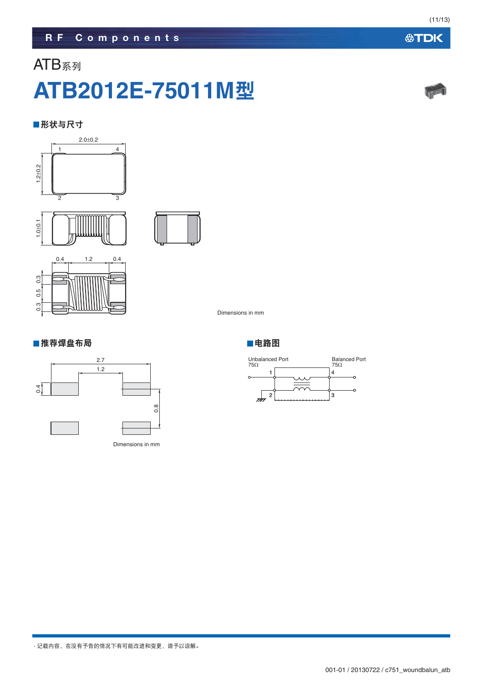# **ATB2012E-75011M**ᄲ

**RF Components**

#### ■形状与尺寸

ATB系列







### ■推荐焊盘布局のあることをすることをすることをする。■电路图



Dimensions in mm

Dimensions in mm





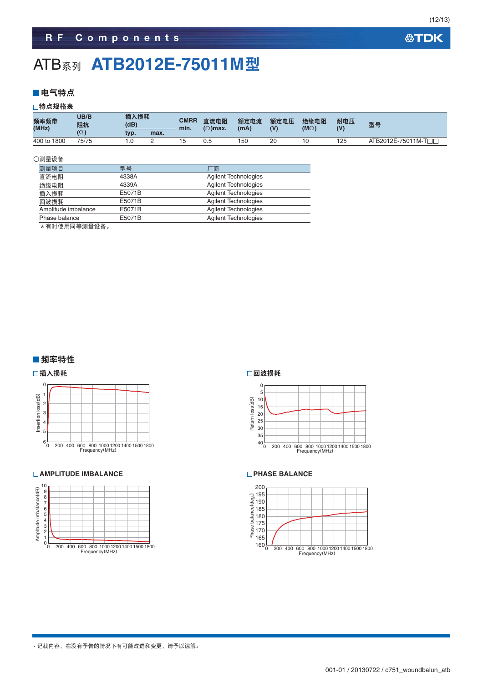### **ATB<sub>系列</sub> ATB2012E-75011M型**

#### ■电气特点

□特点规格表

| 频率频带<br>(MHz) | UB/B<br>阻抗 | 插入损耗<br>(dB) |          | <b>CMRR</b><br>min. | 直流电阻<br>$(\Omega)$ max. | 额定电流<br>(mA) | 额定电压<br>(V) | 绝缘电阻<br>$(M\Omega)$ | 耐电压<br>(V) | 型号                  |
|---------------|------------|--------------|----------|---------------------|-------------------------|--------------|-------------|---------------------|------------|---------------------|
|               | $(\Omega)$ | tvp.         | max.     |                     |                         |              |             |                     |            |                     |
| 400 to 1800   | 75/75      |              | <u>_</u> |                     | 0.5                     | 150          | 20          |                     | 125        | ATB2012E-75011M-TOO |

#### ○测量设备

| 测量项目                | 型号     | `商                          |
|---------------------|--------|-----------------------------|
| 直流电阻                | 4338A  | <b>Agilent Technologies</b> |
| 绝缘电阻                | 4339A  | <b>Agilent Technologies</b> |
| 插入损耗                | E5071B | <b>Agilent Technologies</b> |
| 回波损耗                | E5071B | <b>Agilent Technologies</b> |
| Amplitude imbalance | E5071B | <b>Agilent Technologies</b> |
| Phase balance       | E5071B | <b>Agilent Technologies</b> |
|                     |        |                             |

\*有时使用同等测量设备。

#### ■频率特性





#### **AMPLITUDE IMBALANCE**



#### □回波损耗



#### **PHASE BALANCE**



(12/13)